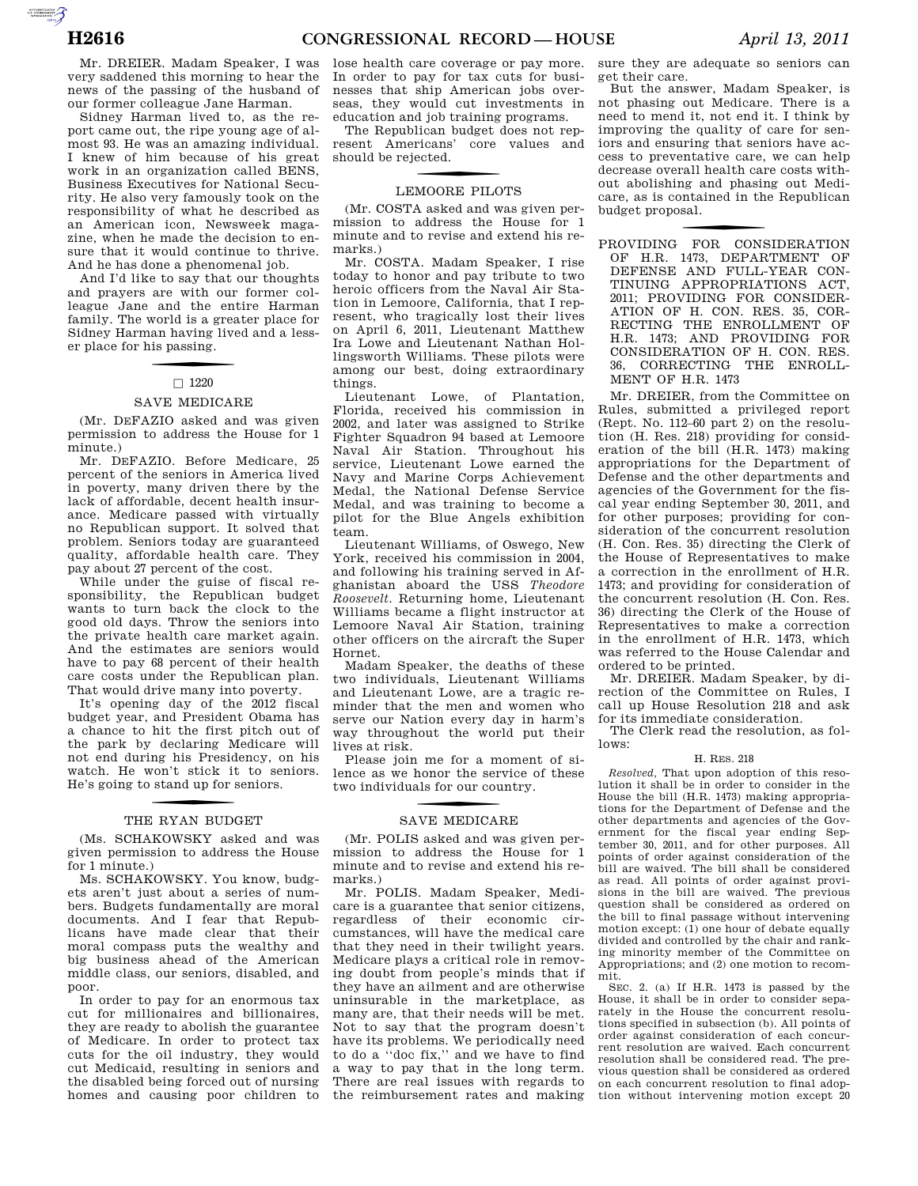AUTOROTOMICALE CONTINUES

very saddened this morning to hear the news of the passing of the husband of our former colleague Jane Harman.

Sidney Harman lived to, as the report came out, the ripe young age of almost 93. He was an amazing individual. I knew of him because of his great work in an organization called BENS, Business Executives for National Security. He also very famously took on the responsibility of what he described as an American icon, Newsweek magazine, when he made the decision to ensure that it would continue to thrive. And he has done a phenomenal job.

And I'd like to say that our thoughts and prayers are with our former colleague Jane and the entire Harman family. The world is a greater place for Sidney Harman having lived and a lesser place for his passing.

### $\Box$  1220

### SAVE MEDICARE

(Mr. DEFAZIO asked and was given permission to address the House for 1 minute.)

Mr. DEFAZIO. Before Medicare, 25 percent of the seniors in America lived in poverty, many driven there by the lack of affordable, decent health insurance. Medicare passed with virtually no Republican support. It solved that problem. Seniors today are guaranteed quality, affordable health care. They pay about 27 percent of the cost.

While under the guise of fiscal responsibility, the Republican budget wants to turn back the clock to the good old days. Throw the seniors into the private health care market again. And the estimates are seniors would have to pay 68 percent of their health care costs under the Republican plan. That would drive many into poverty.

It's opening day of the 2012 fiscal budget year, and President Obama has a chance to hit the first pitch out of the park by declaring Medicare will not end during his Presidency, on his watch. He won't stick it to seniors. He's going to stand up for seniors.

# THE RYAN BUDGET

(Ms. SCHAKOWSKY asked and was given permission to address the House for 1 minute.)

Ms. SCHAKOWSKY. You know, budgets aren't just about a series of numbers. Budgets fundamentally are moral documents. And I fear that Republicans have made clear that their moral compass puts the wealthy and big business ahead of the American middle class, our seniors, disabled, and poor.

In order to pay for an enormous tax cut for millionaires and billionaires, they are ready to abolish the guarantee of Medicare. In order to protect tax cuts for the oil industry, they would cut Medicaid, resulting in seniors and the disabled being forced out of nursing homes and causing poor children to

lose health care coverage or pay more. In order to pay for tax cuts for businesses that ship American jobs overseas, they would cut investments in education and job training programs.

The Republican budget does not represent Americans' core values and should be rejected.

# LEMOORE PILOTS

(Mr. COSTA asked and was given permission to address the House for 1 minute and to revise and extend his remarks.)

Mr. COSTA. Madam Speaker, I rise today to honor and pay tribute to two heroic officers from the Naval Air Station in Lemoore, California, that I represent, who tragically lost their lives on April 6, 2011, Lieutenant Matthew Ira Lowe and Lieutenant Nathan Hollingsworth Williams. These pilots were among our best, doing extraordinary things.

Lieutenant Lowe, of Plantation, Florida, received his commission in 2002, and later was assigned to Strike Fighter Squadron 94 based at Lemoore Naval Air Station. Throughout his service, Lieutenant Lowe earned the Navy and Marine Corps Achievement Medal, the National Defense Service Medal, and was training to become a pilot for the Blue Angels exhibition team.

Lieutenant Williams, of Oswego, New York, received his commission in 2004, and following his training served in Afghanistan aboard the USS *Theodore Roosevelt*. Returning home, Lieutenant Williams became a flight instructor at Lemoore Naval Air Station, training other officers on the aircraft the Super Hornet.

Madam Speaker, the deaths of these two individuals, Lieutenant Williams and Lieutenant Lowe, are a tragic reminder that the men and women who serve our Nation every day in harm's way throughout the world put their lives at risk.

Please join me for a moment of silence as we honor the service of these two individuals for our country.

# SAVE MEDICARE

(Mr. POLIS asked and was given permission to address the House for 1 minute and to revise and extend his remarks.)

Mr. POLIS. Madam Speaker, Medicare is a guarantee that senior citizens, regardless of their economic circumstances, will have the medical care that they need in their twilight years. Medicare plays a critical role in removing doubt from people's minds that if they have an ailment and are otherwise uninsurable in the marketplace, as many are, that their needs will be met. Not to say that the program doesn't have its problems. We periodically need to do a ''doc fix,'' and we have to find a way to pay that in the long term. There are real issues with regards to the reimbursement rates and making

sure they are adequate so seniors can get their care.

But the answer, Madam Speaker, is not phasing out Medicare. There is a need to mend it, not end it. I think by improving the quality of care for seniors and ensuring that seniors have access to preventative care, we can help decrease overall health care costs without abolishing and phasing out Medicare, as is contained in the Republican budget proposal.

f PROVIDING FOR CONSIDERATION OF H.R. 1473, DEPARTMENT OF DEFENSE AND FULL-YEAR CON-TINUING APPROPRIATIONS ACT, 2011; PROVIDING FOR CONSIDER-ATION OF H. CON. RES. 35, COR-RECTING THE ENROLLMENT OF H.R. 1473; AND PROVIDING FOR CONSIDERATION OF H. CON. RES. 36, CORRECTING THE ENROLL-MENT OF H.R. 1473

Mr. DREIER, from the Committee on Rules, submitted a privileged report (Rept. No. 112–60 part 2) on the resolution (H. Res. 218) providing for consideration of the bill (H.R. 1473) making appropriations for the Department of Defense and the other departments and agencies of the Government for the fiscal year ending September 30, 2011, and for other purposes; providing for consideration of the concurrent resolution (H. Con. Res. 35) directing the Clerk of the House of Representatives to make a correction in the enrollment of H.R. 1473; and providing for consideration of the concurrent resolution (H. Con. Res. 36) directing the Clerk of the House of Representatives to make a correction in the enrollment of H.R. 1473, which was referred to the House Calendar and ordered to be printed.

Mr. DREIER. Madam Speaker, by direction of the Committee on Rules, I call up House Resolution 218 and ask for its immediate consideration.

The Clerk read the resolution, as follows:

### H. RES. 218

*Resolved,* That upon adoption of this resolution it shall be in order to consider in the House the bill (H.R. 1473) making appropriations for the Department of Defense and the other departments and agencies of the Government for the fiscal year ending September 30, 2011, and for other purposes. All points of order against consideration of the bill are waived. The bill shall be considered as read. All points of order against provisions in the bill are waived. The previous question shall be considered as ordered on the bill to final passage without intervening motion except:  $(1)$  one hour of debate equally divided and controlled by the chair and ranking minority member of the Committee on Appropriations; and (2) one motion to recommit.

SEC. 2. (a) If H.R. 1473 is passed by the House, it shall be in order to consider separately in the House the concurrent resolutions specified in subsection (b). All points of order against consideration of each concurrent resolution are waived. Each concurrent resolution shall be considered read. The previous question shall be considered as ordered on each concurrent resolution to final adoption without intervening motion except 20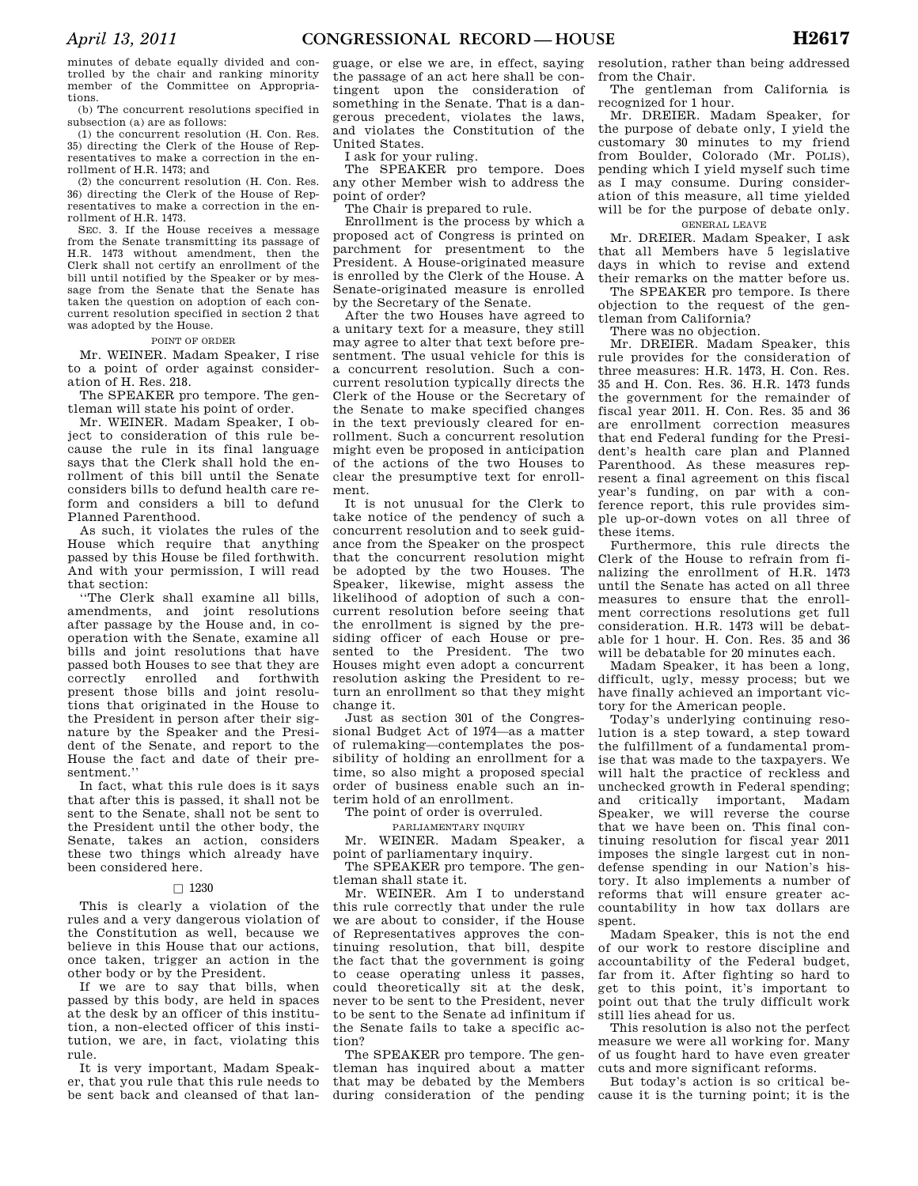minutes of debate equally divided and controlled by the chair and ranking minority member of the Committee on Appropriations.

(b) The concurrent resolutions specified in subsection (a) are as follows:

(1) the concurrent resolution (H. Con. Res. 35) directing the Clerk of the House of Representatives to make a correction in the enrollment of H.R. 1473; and

(2) the concurrent resolution (H. Con. Res. 36) directing the Clerk of the House of Representatives to make a correction in the enrollment of H.R. 1473.

SEC. 3. If the House receives a message from the Senate transmitting its passage of H.R. 1473 without amendment, then the Clerk shall not certify an enrollment of the bill until notified by the Speaker or by message from the Senate that the Senate has taken the question on adoption of each concurrent resolution specified in section 2 that was adopted by the House.

### POINT OF ORDER

Mr. WEINER. Madam Speaker, I rise to a point of order against consideration of H. Res. 218.

The SPEAKER pro tempore. The gentleman will state his point of order.

Mr. WEINER. Madam Speaker, I object to consideration of this rule because the rule in its final language says that the Clerk shall hold the enrollment of this bill until the Senate considers bills to defund health care reform and considers a bill to defund Planned Parenthood.

As such, it violates the rules of the House which require that anything passed by this House be filed forthwith. And with your permission, I will read that section:

''The Clerk shall examine all bills, amendments, and joint resolutions after passage by the House and, in cooperation with the Senate, examine all bills and joint resolutions that have passed both Houses to see that they are correctly enrolled and forthwith present those bills and joint resolutions that originated in the House to the President in person after their signature by the Speaker and the President of the Senate, and report to the House the fact and date of their presentment.''

In fact, what this rule does is it says that after this is passed, it shall not be sent to the Senate, shall not be sent to the President until the other body, the Senate, takes an action, considers these two things which already have been considered here.

### $\Box$  1230

This is clearly a violation of the rules and a very dangerous violation of the Constitution as well, because we believe in this House that our actions, once taken, trigger an action in the other body or by the President.

If we are to say that bills, when passed by this body, are held in spaces at the desk by an officer of this institution, a non-elected officer of this institution, we are, in fact, violating this rule.

It is very important, Madam Speaker, that you rule that this rule needs to be sent back and cleansed of that language, or else we are, in effect, saying the passage of an act here shall be contingent upon the consideration of something in the Senate. That is a dangerous precedent, violates the laws, and violates the Constitution of the United States.

I ask for your ruling.

The SPEAKER pro tempore. Does any other Member wish to address the point of order?

The Chair is prepared to rule.

Enrollment is the process by which a proposed act of Congress is printed on parchment for presentment to the President. A House-originated measure is enrolled by the Clerk of the House. A Senate-originated measure is enrolled by the Secretary of the Senate.

After the two Houses have agreed to a unitary text for a measure, they still may agree to alter that text before presentment. The usual vehicle for this is a concurrent resolution. Such a concurrent resolution typically directs the Clerk of the House or the Secretary of the Senate to make specified changes in the text previously cleared for enrollment. Such a concurrent resolution might even be proposed in anticipation of the actions of the two Houses to clear the presumptive text for enrollment.

It is not unusual for the Clerk to take notice of the pendency of such a concurrent resolution and to seek guidance from the Speaker on the prospect that the concurrent resolution might be adopted by the two Houses. The Speaker, likewise, might assess the likelihood of adoption of such a concurrent resolution before seeing that the enrollment is signed by the presiding officer of each House or presented to the President. The two Houses might even adopt a concurrent resolution asking the President to return an enrollment so that they might change it.

Just as section 301 of the Congressional Budget Act of 1974—as a matter of rulemaking—contemplates the possibility of holding an enrollment for a time, so also might a proposed special order of business enable such an interim hold of an enrollment.

The point of order is overruled.

PARLIAMENTARY INQUIRY

Mr. WEINER. Madam Speaker, a point of parliamentary inquiry.

The SPEAKER pro tempore. The gentleman shall state it.

Mr. WEINER. Am I to understand this rule correctly that under the rule we are about to consider, if the House of Representatives approves the continuing resolution, that bill, despite the fact that the government is going to cease operating unless it passes, could theoretically sit at the desk, never to be sent to the President, never to be sent to the Senate ad infinitum if the Senate fails to take a specific action?

The SPEAKER pro tempore. The gentleman has inquired about a matter that may be debated by the Members during consideration of the pending

resolution, rather than being addressed from the Chair.

The gentleman from California is recognized for 1 hour.

Mr. DREIER. Madam Speaker, for the purpose of debate only, I yield the customary 30 minutes to my friend from Boulder, Colorado (Mr. POLIS), pending which I yield myself such time as I may consume. During consideration of this measure, all time yielded will be for the purpose of debate only. GENERAL LEAVE

Mr. DREIER. Madam Speaker, I ask that all Members have 5 legislative days in which to revise and extend their remarks on the matter before us.

The SPEAKER pro tempore. Is there objection to the request of the gentleman from California?

There was no objection.

Mr. DREIER. Madam Speaker, this rule provides for the consideration of three measures: H.R. 1473, H. Con. Res. 35 and H. Con. Res. 36. H.R. 1473 funds the government for the remainder of fiscal year 2011. H. Con. Res. 35 and 36 are enrollment correction measures that end Federal funding for the President's health care plan and Planned Parenthood. As these measures represent a final agreement on this fiscal year's funding, on par with a conference report, this rule provides simple up-or-down votes on all three of these items.

Furthermore, this rule directs the Clerk of the House to refrain from finalizing the enrollment of H.R. 1473 until the Senate has acted on all three measures to ensure that the enrollment corrections resolutions get full consideration. H.R. 1473 will be debatable for 1 hour. H. Con. Res. 35 and 36 will be debatable for 20 minutes each.

Madam Speaker, it has been a long, difficult, ugly, messy process; but we have finally achieved an important victory for the American people.

Today's underlying continuing resolution is a step toward, a step toward the fulfillment of a fundamental promise that was made to the taxpayers. We will halt the practice of reckless and unchecked growth in Federal spending; and critically important, Madam Speaker, we will reverse the course that we have been on. This final continuing resolution for fiscal year 2011 imposes the single largest cut in nondefense spending in our Nation's history. It also implements a number of reforms that will ensure greater accountability in how tax dollars are spent.

Madam Speaker, this is not the end of our work to restore discipline and accountability of the Federal budget, far from it. After fighting so hard to get to this point, it's important to point out that the truly difficult work still lies ahead for us.

This resolution is also not the perfect measure we were all working for. Many of us fought hard to have even greater cuts and more significant reforms.

But today's action is so critical because it is the turning point; it is the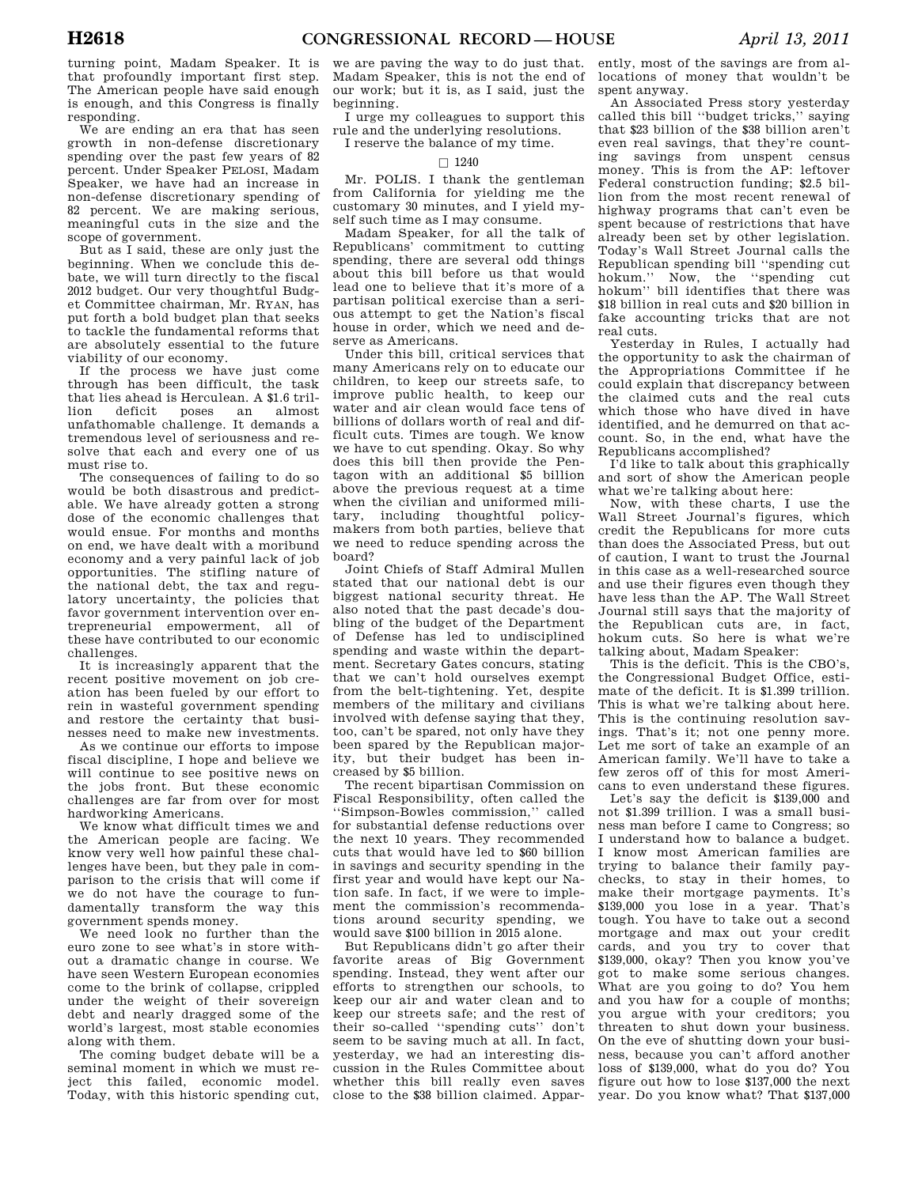turning point, Madam Speaker. It is that profoundly important first step. The American people have said enough is enough, and this Congress is finally responding.

We are ending an era that has seen growth in non-defense discretionary spending over the past few years of 82 percent. Under Speaker PELOSI, Madam Speaker, we have had an increase in non-defense discretionary spending of 82 percent. We are making serious, meaningful cuts in the size and the scope of government.

But as I said, these are only just the beginning. When we conclude this debate, we will turn directly to the fiscal 2012 budget. Our very thoughtful Budget Committee chairman, Mr. RYAN, has put forth a bold budget plan that seeks to tackle the fundamental reforms that are absolutely essential to the future viability of our economy.

If the process we have just come through has been difficult, the task that lies ahead is Herculean. A \$1.6 trillion deficit poses an almost unfathomable challenge. It demands a tremendous level of seriousness and resolve that each and every one of us must rise to.

The consequences of failing to do so would be both disastrous and predictable. We have already gotten a strong dose of the economic challenges that would ensue. For months and months on end, we have dealt with a moribund economy and a very painful lack of job opportunities. The stifling nature of the national debt, the tax and regulatory uncertainty, the policies that favor government intervention over entrepreneurial empowerment, all of these have contributed to our economic challenges.

It is increasingly apparent that the recent positive movement on job creation has been fueled by our effort to rein in wasteful government spending and restore the certainty that businesses need to make new investments.

As we continue our efforts to impose fiscal discipline, I hope and believe we will continue to see positive news on the jobs front. But these economic challenges are far from over for most hardworking Americans.

We know what difficult times we and the American people are facing. We know very well how painful these challenges have been, but they pale in comparison to the crisis that will come if we do not have the courage to fundamentally transform the way this government spends money.

We need look no further than the euro zone to see what's in store without a dramatic change in course. We have seen Western European economies come to the brink of collapse, crippled under the weight of their sovereign debt and nearly dragged some of the world's largest, most stable economies along with them.

The coming budget debate will be a seminal moment in which we must reject this failed, economic model. Today, with this historic spending cut,

we are paving the way to do just that. Madam Speaker, this is not the end of our work; but it is, as I said, just the beginning.

I urge my colleagues to support this rule and the underlying resolutions.

I reserve the balance of my time.

# $\Box$  1240

Mr. POLIS. I thank the gentleman from California for yielding me the customary 30 minutes, and I yield myself such time as I may consume.

Madam Speaker, for all the talk of Republicans' commitment to cutting spending, there are several odd things about this bill before us that would lead one to believe that it's more of a partisan political exercise than a serious attempt to get the Nation's fiscal house in order, which we need and deserve as Americans.

Under this bill, critical services that many Americans rely on to educate our children, to keep our streets safe, to improve public health, to keep our water and air clean would face tens of billions of dollars worth of real and difficult cuts. Times are tough. We know we have to cut spending. Okay. So why does this bill then provide the Pentagon with an additional \$5 billion above the previous request at a time when the civilian and uniformed military, including thoughtful policymakers from both parties, believe that we need to reduce spending across the board?

Joint Chiefs of Staff Admiral Mullen stated that our national debt is our biggest national security threat. He also noted that the past decade's doubling of the budget of the Department of Defense has led to undisciplined spending and waste within the department. Secretary Gates concurs, stating that we can't hold ourselves exempt from the belt-tightening. Yet, despite members of the military and civilians involved with defense saying that they, too, can't be spared, not only have they been spared by the Republican majority, but their budget has been increased by \$5 billion.

The recent bipartisan Commission on Fiscal Responsibility, often called the ''Simpson-Bowles commission,'' called for substantial defense reductions over the next 10 years. They recommended cuts that would have led to \$60 billion in savings and security spending in the first year and would have kept our Nation safe. In fact, if we were to implement the commission's recommendations around security spending, we would save \$100 billion in 2015 alone.

But Republicans didn't go after their favorite areas of Big Government spending. Instead, they went after our efforts to strengthen our schools, to keep our air and water clean and to keep our streets safe; and the rest of their so-called ''spending cuts'' don't seem to be saving much at all. In fact, yesterday, we had an interesting discussion in the Rules Committee about whether this bill really even saves close to the \$38 billion claimed. Appar-

ently, most of the savings are from allocations of money that wouldn't be spent anyway.

An Associated Press story yesterday called this bill ''budget tricks,'' saying that \$23 billion of the \$38 billion aren't even real savings, that they're counting savings from unspent census money. This is from the AP: leftover Federal construction funding; \$2.5 billion from the most recent renewal of highway programs that can't even be spent because of restrictions that have already been set by other legislation. Today's Wall Street Journal calls the Republican spending bill ''spending cut hokum.'' Now, the ''spending cut hokum'' bill identifies that there was \$18 billion in real cuts and \$20 billion in fake accounting tricks that are not real cuts.

Yesterday in Rules, I actually had the opportunity to ask the chairman of the Appropriations Committee if he could explain that discrepancy between the claimed cuts and the real cuts which those who have dived in have identified, and he demurred on that account. So, in the end, what have the Republicans accomplished?

I'd like to talk about this graphically and sort of show the American people what we're talking about here:

Now, with these charts, I use the Wall Street Journal's figures, which credit the Republicans for more cuts than does the Associated Press, but out of caution, I want to trust the Journal in this case as a well-researched source and use their figures even though they have less than the AP. The Wall Street Journal still says that the majority of the Republican cuts are, in fact, hokum cuts. So here is what we're talking about, Madam Speaker:

This is the deficit. This is the CBO's, the Congressional Budget Office, estimate of the deficit. It is \$1.399 trillion. This is what we're talking about here. This is the continuing resolution savings. That's it; not one penny more. Let me sort of take an example of an American family. We'll have to take a few zeros off of this for most Americans to even understand these figures.

Let's say the deficit is \$139,000 and not \$1.399 trillion. I was a small business man before I came to Congress; so I understand how to balance a budget. I know most American families are trying to balance their family paychecks, to stay in their homes, to make their mortgage payments. It's \$139,000 you lose in a year. That's tough. You have to take out a second mortgage and max out your credit cards, and you try to cover that \$139,000, okay? Then you know you've got to make some serious changes. What are you going to do? You hem and you haw for a couple of months; you argue with your creditors; you threaten to shut down your business. On the eve of shutting down your business, because you can't afford another loss of \$139,000, what do you do? You figure out how to lose \$137,000 the next year. Do you know what? That \$137,000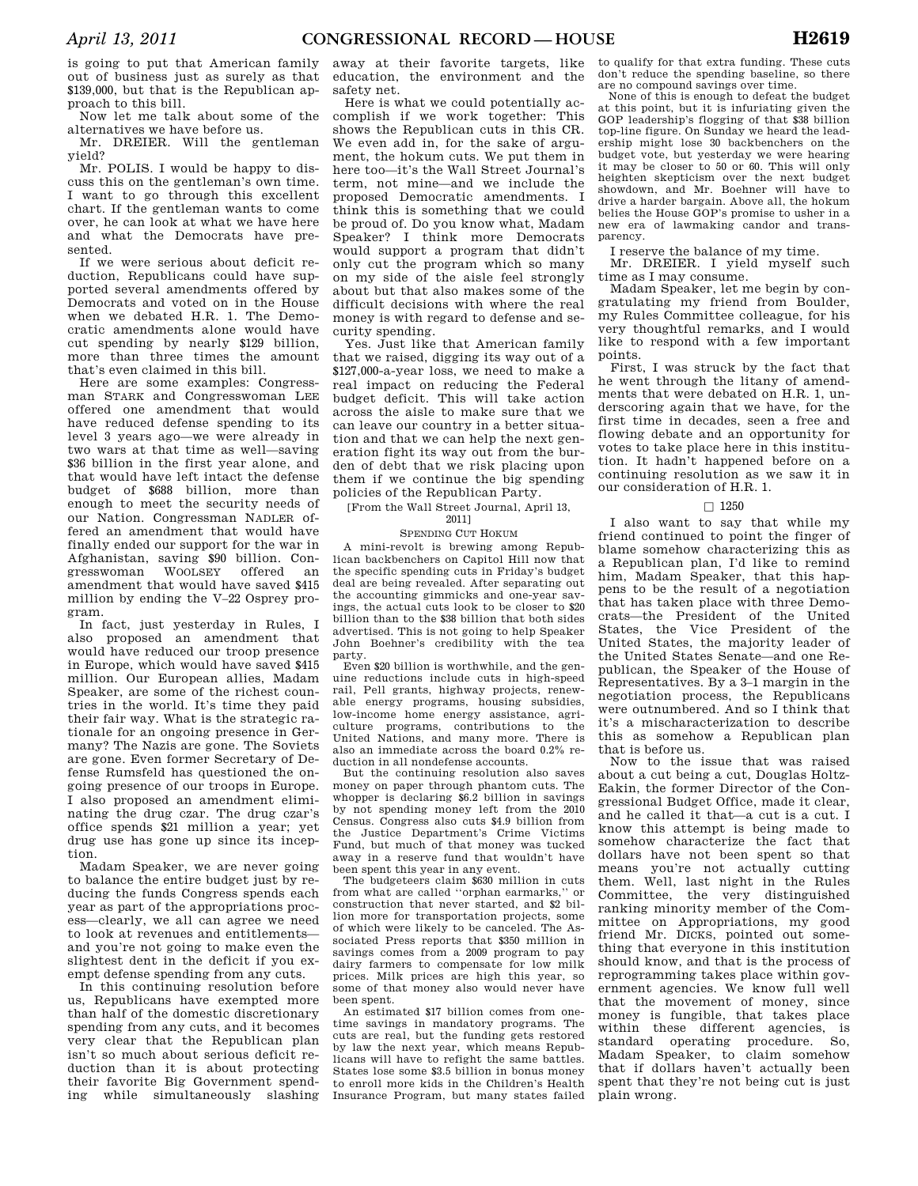is going to put that American family out of business just as surely as that \$139,000, but that is the Republican approach to this bill.

Now let me talk about some of the alternatives we have before us.

Mr. DREIER. Will the gentleman yield?

Mr. POLIS. I would be happy to discuss this on the gentleman's own time. I want to go through this excellent chart. If the gentleman wants to come over, he can look at what we have here and what the Democrats have presented.

If we were serious about deficit reduction, Republicans could have supported several amendments offered by Democrats and voted on in the House when we debated H.R. 1. The Democratic amendments alone would have cut spending by nearly \$129 billion, more than three times the amount that's even claimed in this bill.

Here are some examples: Congressman STARK and Congresswoman LEE offered one amendment that would have reduced defense spending to its level 3 years ago—we were already in two wars at that time as well—saving \$36 billion in the first year alone, and that would have left intact the defense budget of \$688 billion, more than enough to meet the security needs of our Nation. Congressman NADLER offered an amendment that would have finally ended our support for the war in Afghanistan, saving \$90 billion. Congresswoman WOOLSEY offered an amendment that would have saved \$415 million by ending the V–22 Osprey program.

In fact, just yesterday in Rules, I also proposed an amendment that would have reduced our troop presence in Europe, which would have saved \$415 million. Our European allies, Madam Speaker, are some of the richest countries in the world. It's time they paid their fair way. What is the strategic rationale for an ongoing presence in Germany? The Nazis are gone. The Soviets are gone. Even former Secretary of Defense Rumsfeld has questioned the ongoing presence of our troops in Europe. I also proposed an amendment eliminating the drug czar. The drug czar's office spends \$21 million a year; yet drug use has gone up since its inception.

Madam Speaker, we are never going to balance the entire budget just by reducing the funds Congress spends each year as part of the appropriations process—clearly, we all can agree we need to look at revenues and entitlements and you're not going to make even the slightest dent in the deficit if you exempt defense spending from any cuts.

In this continuing resolution before us, Republicans have exempted more than half of the domestic discretionary spending from any cuts, and it becomes very clear that the Republican plan isn't so much about serious deficit reduction than it is about protecting their favorite Big Government spending while simultaneously slashing away at their favorite targets, like education, the environment and the safety net.

Here is what we could potentially accomplish if we work together: This shows the Republican cuts in this CR. We even add in, for the sake of argument, the hokum cuts. We put them in here too—it's the Wall Street Journal's term, not mine—and we include the proposed Democratic amendments. I think this is something that we could be proud of. Do you know what, Madam Speaker? I think more Democrats would support a program that didn't only cut the program which so many on my side of the aisle feel strongly about but that also makes some of the difficult decisions with where the real money is with regard to defense and security spending.

Yes. Just like that American family that we raised, digging its way out of a \$127,000-a-year loss, we need to make a real impact on reducing the Federal budget deficit. This will take action across the aisle to make sure that we can leave our country in a better situation and that we can help the next generation fight its way out from the burden of debt that we risk placing upon them if we continue the big spending policies of the Republican Party.

[From the Wall Street Journal, April 13, 2011]

# SPENDING CUT HOKUM

A mini-revolt is brewing among Republican backbenchers on Capitol Hill now that the specific spending cuts in Friday's budget deal are being revealed. After separating out the accounting gimmicks and one-year savings, the actual cuts look to be closer to \$20 billion than to the \$38 billion that both sides advertised. This is not going to help Speaker John Boehner's credibility with the tea party.

Even \$20 billion is worthwhile, and the genuine reductions include cuts in high-speed rail, Pell grants, highway projects, renewable energy programs, housing subsidies, low-income home energy assistance, agriculture programs, contributions to the United Nations, and many more. There is also an immediate across the board 0.2% reduction in all nondefense accounts.

But the continuing resolution also saves money on paper through phantom cuts. The whopper is declaring \$6.2 billion in savings by not spending money left from the 2010 Census. Congress also cuts \$4.9 billion from the Justice Department's Crime Victims Fund, but much of that money was tucked away in a reserve fund that wouldn't have been spent this year in any event.

The budgeteers claim \$630 million in cuts from what are called ''orphan earmarks,'' or construction that never started, and \$2 billion more for transportation projects, some of which were likely to be canceled. The Associated Press reports that \$350 million in savings comes from a 2009 program to pay dairy farmers to compensate for low milk prices. Milk prices are high this year, so some of that money also would never have been spent.

An estimated \$17 billion comes from onetime savings in mandatory programs. The cuts are real, but the funding gets restored by law the next year, which means Republicans will have to refight the same battles. States lose some \$3.5 billion in bonus money to enroll more kids in the Children's Health Insurance Program, but many states failed to qualify for that extra funding. These cuts don't reduce the spending baseline, so there are no compound savings over time.

None of this is enough to defeat the budget at this point, but it is infuriating given the GOP leadership's flogging of that \$38 billion top-line figure. On Sunday we heard the leadership might lose 30 backbenchers on the budget vote, but yesterday we were hearing it may be closer to 50 or 60. This will only heighten skepticism over the next budget showdown, and Mr. Boehner will have to drive a harder bargain. Above all, the hokum belies the House GOP's promise to usher in a new era of lawmaking candor and transparency.

I reserve the balance of my time.

Mr. DREIER. I yield myself such time as I may consume.

Madam Speaker, let me begin by congratulating my friend from Boulder, my Rules Committee colleague, for his very thoughtful remarks, and I would like to respond with a few important points.

First, I was struck by the fact that he went through the litany of amendments that were debated on H.R. 1, underscoring again that we have, for the first time in decades, seen a free and flowing debate and an opportunity for votes to take place here in this institution. It hadn't happened before on a continuing resolution as we saw it in our consideration of H.R. 1.

### $\Box$  1250

I also want to say that while my friend continued to point the finger of blame somehow characterizing this as a Republican plan, I'd like to remind him, Madam Speaker, that this happens to be the result of a negotiation that has taken place with three Democrats—the President of the United States, the Vice President of the United States, the majority leader of the United States Senate—and one Republican, the Speaker of the House of Representatives. By a 3–1 margin in the negotiation process, the Republicans were outnumbered. And so I think that it's a mischaracterization to describe this as somehow a Republican plan that is before us.

Now to the issue that was raised about a cut being a cut, Douglas Holtz-Eakin, the former Director of the Congressional Budget Office, made it clear, and he called it that—a cut is a cut. I know this attempt is being made to somehow characterize the fact that dollars have not been spent so that means you're not actually cutting them. Well, last night in the Rules Committee, the very distinguished ranking minority member of the Committee on Appropriations, my good friend Mr. DICKS, pointed out something that everyone in this institution should know, and that is the process of reprogramming takes place within government agencies. We know full well that the movement of money, since money is fungible, that takes place within these different agencies, is standard operating procedure. So, Madam Speaker, to claim somehow that if dollars haven't actually been spent that they're not being cut is just plain wrong.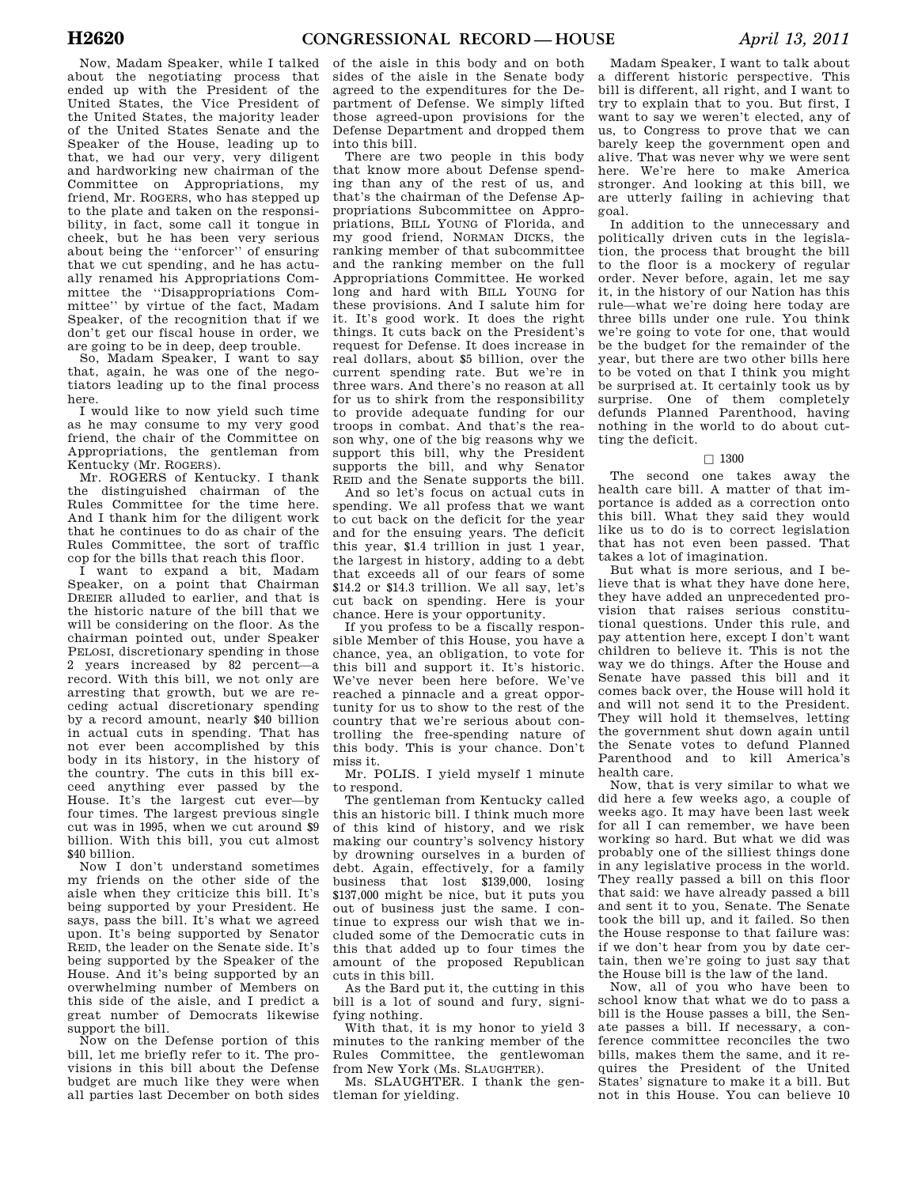Now, Madam Speaker, while I talked about the negotiating process that ended up with the President of the United States, the Vice President of the United States, the majority leader of the United States Senate and the Speaker of the House, leading up to that, we had our very, very diligent and hardworking new chairman of the Committee on Appropriations, my friend, Mr. ROGERS, who has stepped up to the plate and taken on the responsibility, in fact, some call it tongue in cheek, but he has been very serious about being the ''enforcer'' of ensuring that we cut spending, and he has actually renamed his Appropriations Committee the ''Disappropriations Committee'' by virtue of the fact, Madam Speaker, of the recognition that if we don't get our fiscal house in order, we are going to be in deep, deep trouble.

So, Madam Speaker, I want to say that, again, he was one of the negotiators leading up to the final process here.

I would like to now yield such time as he may consume to my very good friend, the chair of the Committee on Appropriations, the gentleman from Kentucky (Mr. ROGERS).

Mr. ROGERS of Kentucky. I thank the distinguished chairman of the Rules Committee for the time here. And I thank him for the diligent work that he continues to do as chair of the Rules Committee, the sort of traffic cop for the bills that reach this floor.

I want to expand a bit, Madam Speaker, on a point that Chairman DREIER alluded to earlier, and that is the historic nature of the bill that we will be considering on the floor. As the chairman pointed out, under Speaker PELOSI, discretionary spending in those 2 years increased by 82 percent—a record. With this bill, we not only are arresting that growth, but we are receding actual discretionary spending by a record amount, nearly \$40 billion in actual cuts in spending. That has not ever been accomplished by this body in its history, in the history of the country. The cuts in this bill exceed anything ever passed by the House. It's the largest cut ever—by four times. The largest previous single cut was in 1995, when we cut around \$9 billion. With this bill, you cut almost \$40 billion.

Now I don't understand sometimes my friends on the other side of the aisle when they criticize this bill. It's being supported by your President. He says, pass the bill. It's what we agreed upon. It's being supported by Senator REID, the leader on the Senate side. It's being supported by the Speaker of the House. And it's being supported by an overwhelming number of Members on this side of the aisle, and I predict a great number of Democrats likewise support the bill.

Now on the Defense portion of this bill, let me briefly refer to it. The provisions in this bill about the Defense budget are much like they were when all parties last December on both sides

of the aisle in this body and on both sides of the aisle in the Senate body agreed to the expenditures for the Department of Defense. We simply lifted those agreed-upon provisions for the Defense Department and dropped them into this bill.

There are two people in this body that know more about Defense spending than any of the rest of us, and that's the chairman of the Defense Appropriations Subcommittee on Appropriations, BILL YOUNG of Florida, and my good friend, NORMAN DICKS, the ranking member of that subcommittee and the ranking member on the full Appropriations Committee. He worked long and hard with BILL YOUNG for these provisions. And I salute him for it. It's good work. It does the right things. It cuts back on the President's request for Defense. It does increase in real dollars, about \$5 billion, over the current spending rate. But we're in three wars. And there's no reason at all for us to shirk from the responsibility to provide adequate funding for our troops in combat. And that's the reason why, one of the big reasons why we support this bill, why the President supports the bill, and why Senator REID and the Senate supports the bill.

And so let's focus on actual cuts in spending. We all profess that we want to cut back on the deficit for the year and for the ensuing years. The deficit this year, \$1.4 trillion in just 1 year, the largest in history, adding to a debt that exceeds all of our fears of some \$14.2 or \$14.3 trillion. We all say, let's cut back on spending. Here is your chance. Here is your opportunity.

If you profess to be a fiscally responsible Member of this House, you have a chance, yea, an obligation, to vote for this bill and support it. It's historic. We've never been here before. We've reached a pinnacle and a great opportunity for us to show to the rest of the country that we're serious about controlling the free-spending nature of this body. This is your chance. Don't miss it.

Mr. POLIS. I yield myself 1 minute to respond.

The gentleman from Kentucky called this an historic bill. I think much more of this kind of history, and we risk making our country's solvency history by drowning ourselves in a burden of debt. Again, effectively, for a family business that lost \$139,000, losing \$137,000 might be nice, but it puts you out of business just the same. I continue to express our wish that we included some of the Democratic cuts in this that added up to four times the amount of the proposed Republican cuts in this bill.

As the Bard put it, the cutting in this bill is a lot of sound and fury, signifying nothing.

With that, it is my honor to yield 3 minutes to the ranking member of the Rules Committee, the gentlewoman from New York (Ms. SLAUGHTER).

Ms. SLAUGHTER. I thank the gentleman for yielding.

Madam Speaker, I want to talk about a different historic perspective. This bill is different, all right, and I want to try to explain that to you. But first, I want to say we weren't elected, any of us, to Congress to prove that we can barely keep the government open and alive. That was never why we were sent here. We're here to make America stronger. And looking at this bill, we are utterly failing in achieving that goal.

In addition to the unnecessary and politically driven cuts in the legislation, the process that brought the bill to the floor is a mockery of regular order. Never before, again, let me say it, in the history of our Nation has this rule—what we're doing here today are three bills under one rule. You think we're going to vote for one, that would be the budget for the remainder of the year, but there are two other bills here to be voted on that I think you might be surprised at. It certainly took us by surprise. One of them completely defunds Planned Parenthood, having nothing in the world to do about cutting the deficit.

## $\square$  1300

The second one takes away the health care bill. A matter of that importance is added as a correction onto this bill. What they said they would like us to do is to correct legislation that has not even been passed. That takes a lot of imagination.

But what is more serious, and I believe that is what they have done here, they have added an unprecedented provision that raises serious constitutional questions. Under this rule, and pay attention here, except I don't want children to believe it. This is not the way we do things. After the House and Senate have passed this bill and it comes back over, the House will hold it and will not send it to the President. They will hold it themselves, letting the government shut down again until the Senate votes to defund Planned Parenthood and to kill America's health care.

Now, that is very similar to what we did here a few weeks ago, a couple of weeks ago. It may have been last week for all I can remember, we have been working so hard. But what we did was probably one of the silliest things done in any legislative process in the world. They really passed a bill on this floor that said: we have already passed a bill and sent it to you, Senate. The Senate took the bill up, and it failed. So then the House response to that failure was: if we don't hear from you by date certain, then we're going to just say that the House bill is the law of the land.

Now, all of you who have been to school know that what we do to pass a bill is the House passes a bill, the Senate passes a bill. If necessary, a conference committee reconciles the two bills, makes them the same, and it requires the President of the United States' signature to make it a bill. But not in this House. You can believe 10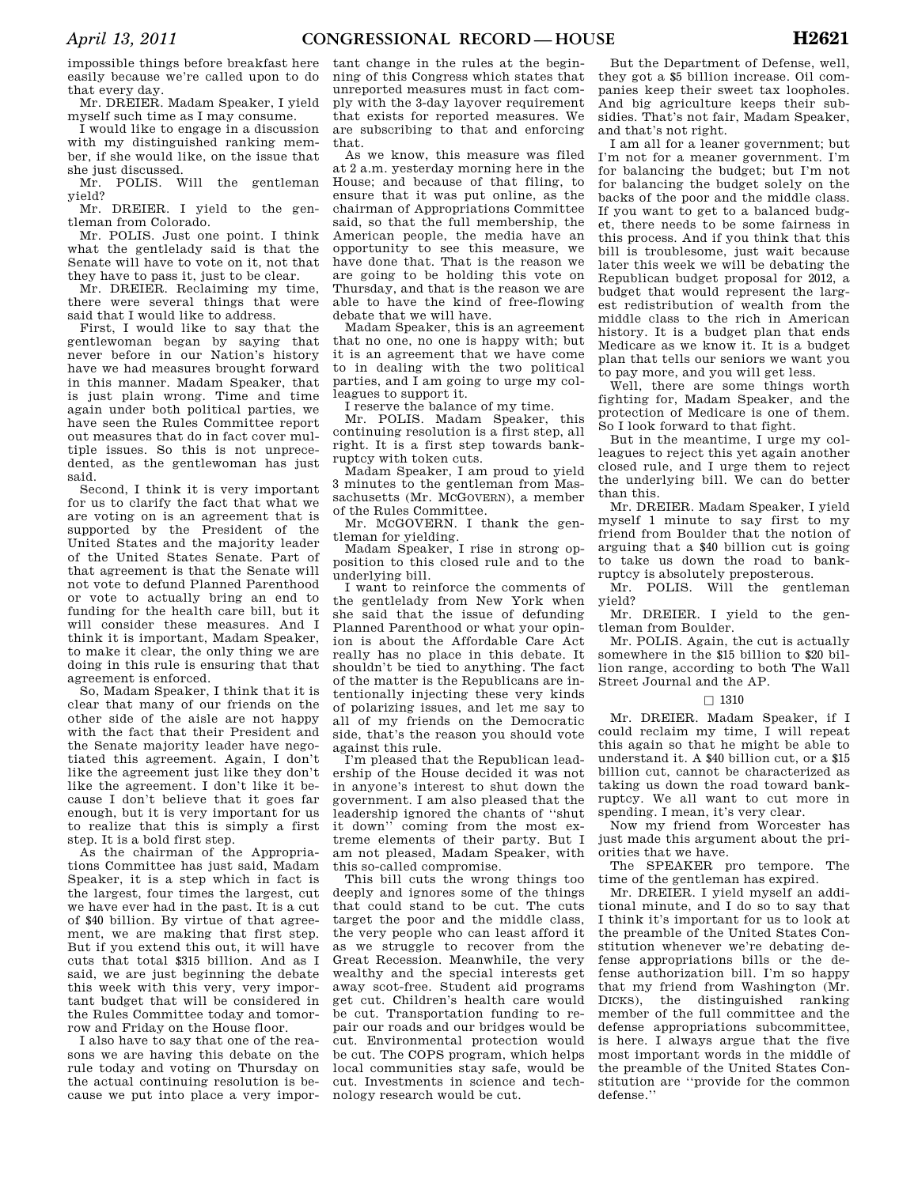impossible things before breakfast here easily because we're called upon to do that every day.

Mr. DREIER. Madam Speaker, I yield myself such time as I may consume.

I would like to engage in a discussion with my distinguished ranking member, if she would like, on the issue that she just discussed.

Mr. POLIS. Will the gentleman yield?

Mr. DREIER. I yield to the gentleman from Colorado.

Mr. POLIS. Just one point. I think what the gentlelady said is that the Senate will have to vote on it, not that they have to pass it, just to be clear.

Mr. DREIER. Reclaiming my time, there were several things that were said that I would like to address.

First, I would like to say that the gentlewoman began by saying that never before in our Nation's history have we had measures brought forward in this manner. Madam Speaker, that is just plain wrong. Time and time again under both political parties, we have seen the Rules Committee report out measures that do in fact cover multiple issues. So this is not unprecedented, as the gentlewoman has just said.

Second, I think it is very important for us to clarify the fact that what we are voting on is an agreement that is supported by the President of the United States and the majority leader of the United States Senate. Part of that agreement is that the Senate will not vote to defund Planned Parenthood or vote to actually bring an end to funding for the health care bill, but it will consider these measures. And I think it is important, Madam Speaker, to make it clear, the only thing we are doing in this rule is ensuring that that agreement is enforced.

So, Madam Speaker, I think that it is clear that many of our friends on the other side of the aisle are not happy with the fact that their President and the Senate majority leader have negotiated this agreement. Again, I don't like the agreement just like they don't like the agreement. I don't like it because I don't believe that it goes far enough, but it is very important for us to realize that this is simply a first step. It is a bold first step.

As the chairman of the Appropriations Committee has just said, Madam Speaker, it is a step which in fact is the largest, four times the largest, cut we have ever had in the past. It is a cut of \$40 billion. By virtue of that agreement, we are making that first step. But if you extend this out, it will have cuts that total \$315 billion. And as I said, we are just beginning the debate this week with this very, very important budget that will be considered in the Rules Committee today and tomorrow and Friday on the House floor.

I also have to say that one of the reasons we are having this debate on the rule today and voting on Thursday on the actual continuing resolution is because we put into place a very impor-

tant change in the rules at the beginning of this Congress which states that unreported measures must in fact comply with the 3-day layover requirement that exists for reported measures. We are subscribing to that and enforcing that.

As we know, this measure was filed at 2 a.m. yesterday morning here in the House; and because of that filing, to ensure that it was put online, as the chairman of Appropriations Committee said, so that the full membership, the American people, the media have an opportunity to see this measure, we have done that. That is the reason we are going to be holding this vote on Thursday, and that is the reason we are able to have the kind of free-flowing debate that we will have.

Madam Speaker, this is an agreement that no one, no one is happy with; but it is an agreement that we have come to in dealing with the two political parties, and I am going to urge my colleagues to support it.

I reserve the balance of my time.

Mr. POLIS. Madam Speaker, this continuing resolution is a first step, all right. It is a first step towards bankruptcy with token cuts.

Madam Speaker, I am proud to yield 3 minutes to the gentleman from Massachusetts (Mr. MCGOVERN), a member of the Rules Committee.

Mr. MCGOVERN. I thank the gentleman for yielding.

Madam Speaker, I rise in strong opposition to this closed rule and to the underlying bill.

I want to reinforce the comments of the gentlelady from New York when she said that the issue of defunding Planned Parenthood or what your opinion is about the Affordable Care Act really has no place in this debate. It shouldn't be tied to anything. The fact of the matter is the Republicans are intentionally injecting these very kinds of polarizing issues, and let me say to all of my friends on the Democratic side, that's the reason you should vote against this rule.

I'm pleased that the Republican leadership of the House decided it was not in anyone's interest to shut down the government. I am also pleased that the leadership ignored the chants of ''shut it down'' coming from the most extreme elements of their party. But I am not pleased, Madam Speaker, with this so-called compromise.

This bill cuts the wrong things too deeply and ignores some of the things that could stand to be cut. The cuts target the poor and the middle class, the very people who can least afford it as we struggle to recover from the Great Recession. Meanwhile, the very wealthy and the special interests get away scot-free. Student aid programs get cut. Children's health care would be cut. Transportation funding to repair our roads and our bridges would be cut. Environmental protection would be cut. The COPS program, which helps local communities stay safe, would be cut. Investments in science and technology research would be cut.

But the Department of Defense, well, they got a \$5 billion increase. Oil companies keep their sweet tax loopholes. And big agriculture keeps their subsidies. That's not fair, Madam Speaker, and that's not right.

I am all for a leaner government; but I'm not for a meaner government. I'm for balancing the budget; but I'm not for balancing the budget solely on the backs of the poor and the middle class. If you want to get to a balanced budget, there needs to be some fairness in this process. And if you think that this bill is troublesome, just wait because later this week we will be debating the Republican budget proposal for 2012, a budget that would represent the largest redistribution of wealth from the middle class to the rich in American history. It is a budget plan that ends Medicare as we know it. It is a budget plan that tells our seniors we want you to pay more, and you will get less.

Well, there are some things worth fighting for, Madam Speaker, and the protection of Medicare is one of them. So I look forward to that fight.

But in the meantime, I urge my colleagues to reject this yet again another closed rule, and I urge them to reject the underlying bill. We can do better than this.

Mr. DREIER. Madam Speaker, I yield myself 1 minute to say first to my friend from Boulder that the notion of arguing that a \$40 billion cut is going to take us down the road to bankruptcy is absolutely preposterous.

Mr. POLIS. Will the gentleman yield?

Mr. DREIER. I yield to the gentleman from Boulder.

Mr. POLIS. Again, the cut is actually somewhere in the \$15 billion to \$20 billion range, according to both The Wall Street Journal and the AP.

## $\Box$  1310

Mr. DREIER. Madam Speaker, if I could reclaim my time, I will repeat this again so that he might be able to understand it. A \$40 billion cut, or a \$15 billion cut, cannot be characterized as taking us down the road toward bankruptcy. We all want to cut more in spending. I mean, it's very clear.

Now my friend from Worcester has just made this argument about the priorities that we have.

The SPEAKER pro tempore. The time of the gentleman has expired.

Mr. DREIER. I yield myself an additional minute, and I do so to say that I think it's important for us to look at the preamble of the United States Constitution whenever we're debating defense appropriations bills or the defense authorization bill. I'm so happy that my friend from Washington (Mr. DICKS), the distinguished ranking member of the full committee and the defense appropriations subcommittee, is here. I always argue that the five most important words in the middle of the preamble of the United States Constitution are ''provide for the common defense.''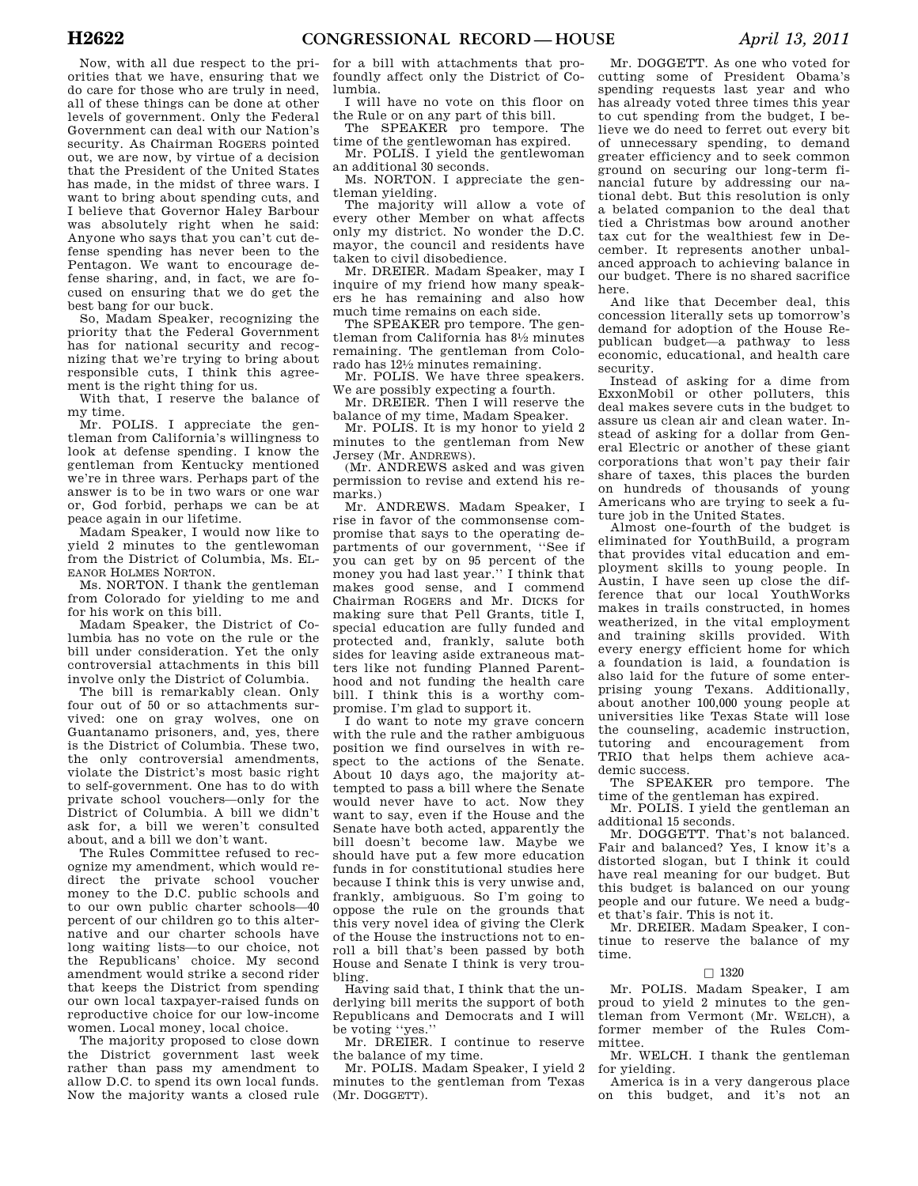Now, with all due respect to the priorities that we have, ensuring that we do care for those who are truly in need, all of these things can be done at other levels of government. Only the Federal Government can deal with our Nation's security. As Chairman ROGERS pointed out, we are now, by virtue of a decision that the President of the United States has made, in the midst of three wars. I want to bring about spending cuts, and I believe that Governor Haley Barbour was absolutely right when he said: Anyone who says that you can't cut defense spending has never been to the Pentagon. We want to encourage defense sharing, and, in fact, we are focused on ensuring that we do get the best bang for our buck.

So, Madam Speaker, recognizing the priority that the Federal Government has for national security and recognizing that we're trying to bring about responsible cuts, I think this agreement is the right thing for us.

With that, I reserve the balance of my time.

Mr. POLIS. I appreciate the gentleman from California's willingness to look at defense spending. I know the gentleman from Kentucky mentioned we're in three wars. Perhaps part of the answer is to be in two wars or one war or, God forbid, perhaps we can be at peace again in our lifetime.

Madam Speaker, I would now like to yield 2 minutes to the gentlewoman from the District of Columbia, Ms. EL-EANOR HOLMES NORTON.

Ms. NORTON. I thank the gentleman from Colorado for yielding to me and for his work on this bill.

Madam Speaker, the District of Columbia has no vote on the rule or the bill under consideration. Yet the only controversial attachments in this bill involve only the District of Columbia.

The bill is remarkably clean. Only four out of 50 or so attachments survived: one on gray wolves, one on Guantanamo prisoners, and, yes, there is the District of Columbia. These two, the only controversial amendments, violate the District's most basic right to self-government. One has to do with private school vouchers—only for the District of Columbia. A bill we didn't ask for, a bill we weren't consulted about, and a bill we don't want.

The Rules Committee refused to recognize my amendment, which would redirect the private school voucher money to the D.C. public schools and to our own public charter schools—40 percent of our children go to this alternative and our charter schools have long waiting lists—to our choice, not the Republicans' choice. My second amendment would strike a second rider that keeps the District from spending our own local taxpayer-raised funds on reproductive choice for our low-income women. Local money, local choice.

The majority proposed to close down the District government last week rather than pass my amendment to allow D.C. to spend its own local funds. Now the majority wants a closed rule

for a bill with attachments that profoundly affect only the District of Columbia.

I will have no vote on this floor on the Rule or on any part of this bill.

The SPEAKER pro tempore. The time of the gentlewoman has expired.

Mr. POLIS. I yield the gentlewoman an additional 30 seconds.

Ms. NORTON. I appreciate the gentleman yielding.

The majority will allow a vote of every other Member on what affects only my district. No wonder the D.C. mayor, the council and residents have taken to civil disobedience.

Mr. DREIER. Madam Speaker, may I inquire of my friend how many speakers he has remaining and also how much time remains on each side.

The SPEAKER pro tempore. The gentleman from California has 81⁄2 minutes remaining. The gentleman from Colorado has 121⁄2 minutes remaining.

Mr. POLIS. We have three speakers. We are possibly expecting a fourth.

Mr. DREIER. Then I will reserve the balance of my time, Madam Speaker.

Mr. POLIS. It is my honor to yield 2 minutes to the gentleman from New Jersey (Mr. ANDREWS).

(Mr. ANDREWS asked and was given permission to revise and extend his remarks.)

Mr. ANDREWS. Madam Speaker, I rise in favor of the commonsense compromise that says to the operating departments of our government, ''See if you can get by on 95 percent of the money you had last year.'' I think that makes good sense, and I commend Chairman ROGERS and Mr. DICKS for making sure that Pell Grants, title I, special education are fully funded and protected and, frankly, salute both sides for leaving aside extraneous matters like not funding Planned Parenthood and not funding the health care bill. I think this is a worthy compromise. I'm glad to support it.

I do want to note my grave concern with the rule and the rather ambiguous position we find ourselves in with respect to the actions of the Senate. About 10 days ago, the majority attempted to pass a bill where the Senate would never have to act. Now they want to say, even if the House and the Senate have both acted, apparently the bill doesn't become law. Maybe we should have put a few more education funds in for constitutional studies here because I think this is very unwise and, frankly, ambiguous. So I'm going to oppose the rule on the grounds that this very novel idea of giving the Clerk of the House the instructions not to enroll a bill that's been passed by both House and Senate I think is very troubling.

Having said that, I think that the underlying bill merits the support of both Republicans and Democrats and I will be voting ''yes.''

Mr. DREIER. I continue to reserve the balance of my time.

Mr. POLIS. Madam Speaker, I yield 2 minutes to the gentleman from Texas (Mr. DOGGETT).

Mr. DOGGETT. As one who voted for cutting some of President Obama's spending requests last year and who has already voted three times this year to cut spending from the budget, I believe we do need to ferret out every bit of unnecessary spending, to demand greater efficiency and to seek common ground on securing our long-term financial future by addressing our national debt. But this resolution is only a belated companion to the deal that tied a Christmas bow around another tax cut for the wealthiest few in December. It represents another unbalanced approach to achieving balance in our budget. There is no shared sacrifice here.

And like that December deal, this concession literally sets up tomorrow's demand for adoption of the House Republican budget—a pathway to less economic, educational, and health care security.

Instead of asking for a dime from ExxonMobil or other polluters, this deal makes severe cuts in the budget to assure us clean air and clean water. Instead of asking for a dollar from General Electric or another of these giant corporations that won't pay their fair share of taxes, this places the burden on hundreds of thousands of young Americans who are trying to seek a future job in the United States.

Almost one-fourth of the budget is eliminated for YouthBuild, a program that provides vital education and employment skills to young people. In Austin, I have seen up close the difference that our local YouthWorks makes in trails constructed, in homes weatherized, in the vital employment and training skills provided. With every energy efficient home for which a foundation is laid, a foundation is also laid for the future of some enterprising young Texans. Additionally, about another 100,000 young people at universities like Texas State will lose the counseling, academic instruction, tutoring and encouragement from TRIO that helps them achieve academic success.

The SPEAKER pro tempore. The time of the gentleman has expired.

Mr. POLIS. I yield the gentleman an additional 15 seconds.

Mr. DOGGETT. That's not balanced. Fair and balanced? Yes, I know it's a distorted slogan, but I think it could have real meaning for our budget. But this budget is balanced on our young people and our future. We need a budget that's fair. This is not it.

Mr. DREIER. Madam Speaker, I continue to reserve the balance of my time.

## $\Box$  1320

Mr. POLIS. Madam Speaker, I am proud to yield 2 minutes to the gentleman from Vermont (Mr. WELCH), a former member of the Rules Committee.

Mr. WELCH. I thank the gentleman for yielding.

America is in a very dangerous place on this budget, and it's not an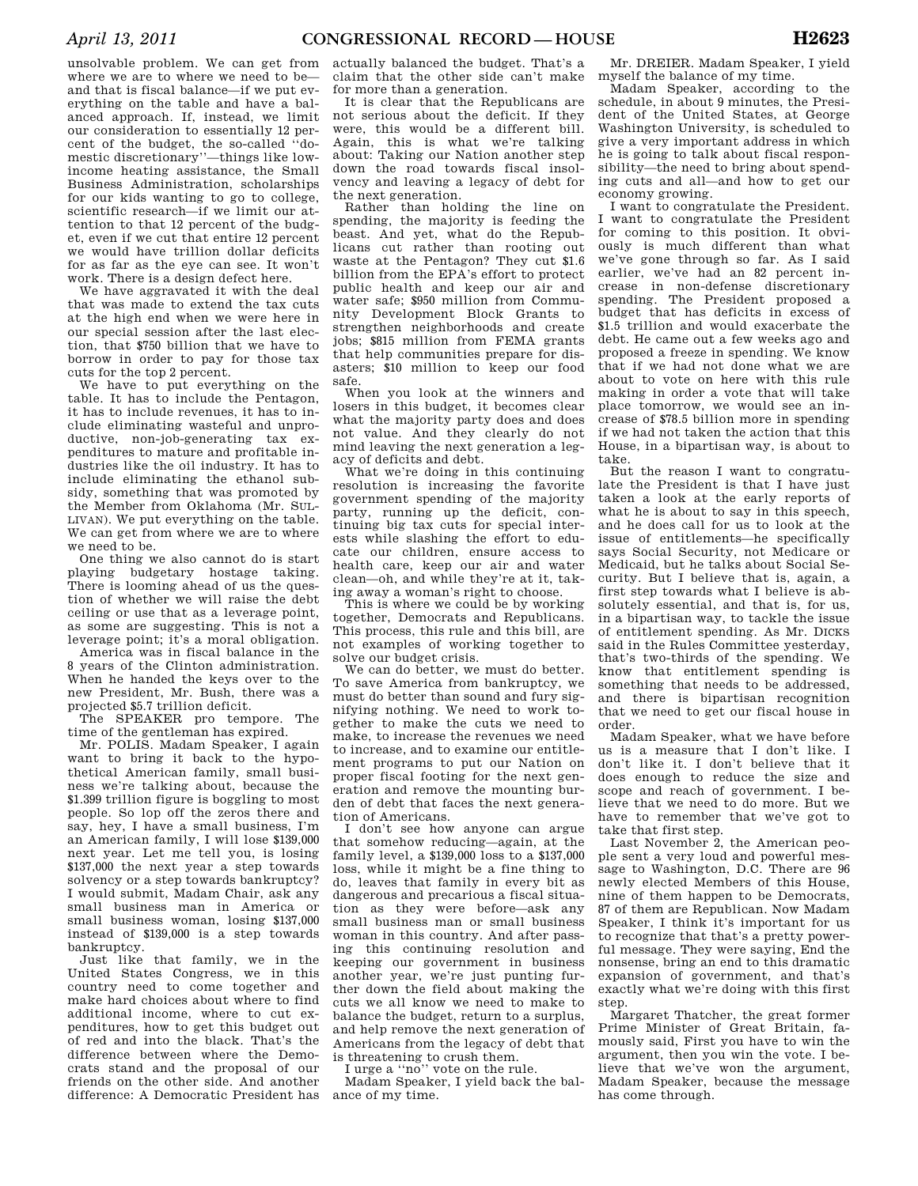unsolvable problem. We can get from where we are to where we need to be and that is fiscal balance—if we put everything on the table and have a balanced approach. If, instead, we limit our consideration to essentially 12 percent of the budget, the so-called ''domestic discretionary''—things like lowincome heating assistance, the Small Business Administration, scholarships for our kids wanting to go to college, scientific research—if we limit our attention to that 12 percent of the budget, even if we cut that entire 12 percent we would have trillion dollar deficits for as far as the eye can see. It won't work. There is a design defect here.

We have aggravated it with the deal that was made to extend the tax cuts at the high end when we were here in our special session after the last election, that \$750 billion that we have to borrow in order to pay for those tax cuts for the top 2 percent.

We have to put everything on the table. It has to include the Pentagon, it has to include revenues, it has to include eliminating wasteful and unproductive, non-job-generating tax expenditures to mature and profitable industries like the oil industry. It has to include eliminating the ethanol subsidy, something that was promoted by the Member from Oklahoma (Mr. SUL-LIVAN). We put everything on the table. We can get from where we are to where we need to be.

One thing we also cannot do is start playing budgetary hostage taking. There is looming ahead of us the question of whether we will raise the debt ceiling or use that as a leverage point, as some are suggesting. This is not a leverage point; it's a moral obligation.

America was in fiscal balance in the 8 years of the Clinton administration. When he handed the keys over to the new President, Mr. Bush, there was a projected \$5.7 trillion deficit.

The SPEAKER pro tempore. The time of the gentleman has expired.

Mr. POLIS. Madam Speaker, I again want to bring it back to the hypothetical American family, small business we're talking about, because the \$1.399 trillion figure is boggling to most people. So lop off the zeros there and say, hey, I have a small business, I'm an American family, I will lose \$139,000 next year. Let me tell you, is losing \$137,000 the next year a step towards solvency or a step towards bankruptcy? I would submit, Madam Chair, ask any small business man in America or small business woman, losing \$137,000 instead of \$139,000 is a step towards bankruptcy.

Just like that family, we in the United States Congress, we in this country need to come together and make hard choices about where to find additional income, where to cut expenditures, how to get this budget out of red and into the black. That's the difference between where the Democrats stand and the proposal of our friends on the other side. And another difference: A Democratic President has ance of my time.

actually balanced the budget. That's a claim that the other side can't make for more than a generation.

It is clear that the Republicans are not serious about the deficit. If they were, this would be a different bill. Again, this is what we're talking about: Taking our Nation another step down the road towards fiscal insolvency and leaving a legacy of debt for the next generation.

Rather than holding the line on spending, the majority is feeding the beast. And yet, what do the Republicans cut rather than rooting out waste at the Pentagon? They cut \$1.6 billion from the EPA's effort to protect public health and keep our air and water safe; \$950 million from Community Development Block Grants to strengthen neighborhoods and create jobs; \$815 million from FEMA grants that help communities prepare for disasters; \$10 million to keep our food safe.

When you look at the winners and losers in this budget, it becomes clear what the majority party does and does not value. And they clearly do not mind leaving the next generation a legacy of deficits and debt.

What we're doing in this continuing resolution is increasing the favorite government spending of the majority party, running up the deficit, continuing big tax cuts for special interests while slashing the effort to educate our children, ensure access to health care, keep our air and water clean—oh, and while they're at it, taking away a woman's right to choose.

This is where we could be by working together, Democrats and Republicans. This process, this rule and this bill, are not examples of working together to solve our budget crisis.

We can do better, we must do better. To save America from bankruptcy, we must do better than sound and fury signifying nothing. We need to work together to make the cuts we need to make, to increase the revenues we need to increase, and to examine our entitlement programs to put our Nation on proper fiscal footing for the next generation and remove the mounting burden of debt that faces the next generation of Americans.

I don't see how anyone can argue that somehow reducing—again, at the family level, a \$139,000 loss to a \$137,000 loss, while it might be a fine thing to do, leaves that family in every bit as dangerous and precarious a fiscal situation as they were before—ask any small business man or small business woman in this country. And after passing this continuing resolution and keeping our government in business another year, we're just punting further down the field about making the cuts we all know we need to make to balance the budget, return to a surplus, and help remove the next generation of Americans from the legacy of debt that is threatening to crush them.

I urge a ''no'' vote on the rule.

Madam Speaker, I yield back the bal-

Mr. DREIER. Madam Speaker, I yield myself the balance of my time.

Madam Speaker, according to the schedule, in about 9 minutes, the President of the United States, at George Washington University, is scheduled to give a very important address in which he is going to talk about fiscal responsibility—the need to bring about spending cuts and all—and how to get our economy growing.

I want to congratulate the President. I want to congratulate the President for coming to this position. It obviously is much different than what we've gone through so far. As I said earlier, we've had an 82 percent increase in non-defense discretionary spending. The President proposed a budget that has deficits in excess of \$1.5 trillion and would exacerbate the debt. He came out a few weeks ago and proposed a freeze in spending. We know that if we had not done what we are about to vote on here with this rule making in order a vote that will take place tomorrow, we would see an increase of \$78.5 billion more in spending if we had not taken the action that this House, in a bipartisan way, is about to take.

But the reason I want to congratulate the President is that I have just taken a look at the early reports of what he is about to say in this speech, and he does call for us to look at the issue of entitlements—he specifically says Social Security, not Medicare or Medicaid, but he talks about Social Security. But I believe that is, again, a first step towards what I believe is absolutely essential, and that is, for us, in a bipartisan way, to tackle the issue of entitlement spending. As Mr. DICKS said in the Rules Committee yesterday, that's two-thirds of the spending. We know that entitlement spending is something that needs to be addressed, and there is bipartisan recognition that we need to get our fiscal house in order.

Madam Speaker, what we have before us is a measure that I don't like. I don't like it. I don't believe that it does enough to reduce the size and scope and reach of government. I believe that we need to do more. But we have to remember that we've got to take that first step.

Last November 2, the American people sent a very loud and powerful message to Washington, D.C. There are 96 newly elected Members of this House, nine of them happen to be Democrats, 87 of them are Republican. Now Madam Speaker, I think it's important for us to recognize that that's a pretty powerful message. They were saying, End the nonsense, bring an end to this dramatic expansion of government, and that's exactly what we're doing with this first step.

Margaret Thatcher, the great former Prime Minister of Great Britain, famously said, First you have to win the argument, then you win the vote. I believe that we've won the argument, Madam Speaker, because the message has come through.